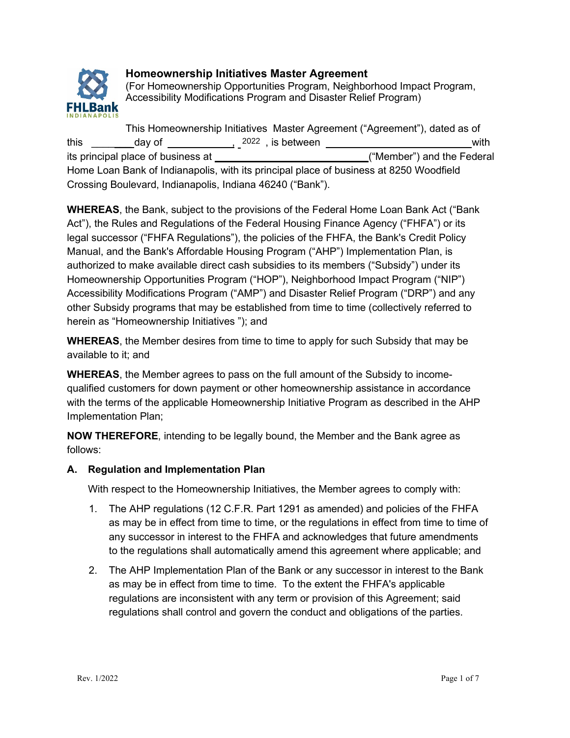

# **Homeownership Initiatives Master Agreement**

(For Homeownership Opportunities Program, Neighborhood Impact Program, Accessibility Modifications Program and Disaster Relief Program)

This Homeownership Initiatives Master Agreement ("Agreement"), dated as of this \_\_\_\_\_\_\_\_day of \_\_\_\_\_\_\_\_\_\_<sub>\_\_</sub>2022,is between \_\_\_\_\_\_\_\_\_\_\_\_\_\_\_\_\_\_\_\_\_\_\_\_\_\_\_\_\_\_\_\_\_with its principal place of business at ("Member") and the Federal Home Loan Bank of Indianapolis, with its principal place of business at 8250 Woodfield Crossing Boulevard, Indianapolis, Indiana 46240 ("Bank").

**WHEREAS**, the Bank, subject to the provisions of the Federal Home Loan Bank Act ("Bank Act"), the Rules and Regulations of the Federal Housing Finance Agency ("FHFA") or its legal successor ("FHFA Regulations"), the policies of the FHFA, the Bank's Credit Policy Manual, and the Bank's Affordable Housing Program ("AHP") Implementation Plan, is authorized to make available direct cash subsidies to its members ("Subsidy") under its Homeownership Opportunities Program ("HOP"), Neighborhood Impact Program ("NIP") Accessibility Modifications Program ("AMP") and Disaster Relief Program ("DRP") and any other Subsidy programs that may be established from time to time (collectively referred to herein as "Homeownership Initiatives "); and

**WHEREAS**, the Member desires from time to time to apply for such Subsidy that may be available to it; and

**WHEREAS**, the Member agrees to pass on the full amount of the Subsidy to incomequalified customers for down payment or other homeownership assistance in accordance with the terms of the applicable Homeownership Initiative Program as described in the AHP Implementation Plan;

**NOW THEREFORE**, intending to be legally bound, the Member and the Bank agree as follows:

# **A. Regulation and Implementation Plan**

With respect to the Homeownership Initiatives, the Member agrees to comply with:

- 1. The AHP regulations (12 C.F.R. Part 1291 as amended) and policies of the FHFA as may be in effect from time to time, or the regulations in effect from time to time of any successor in interest to the FHFA and acknowledges that future amendments to the regulations shall automatically amend this agreement where applicable; and
- 2. The AHP Implementation Plan of the Bank or any successor in interest to the Bank as may be in effect from time to time. To the extent the FHFA's applicable regulations are inconsistent with any term or provision of this Agreement; said regulations shall control and govern the conduct and obligations of the parties.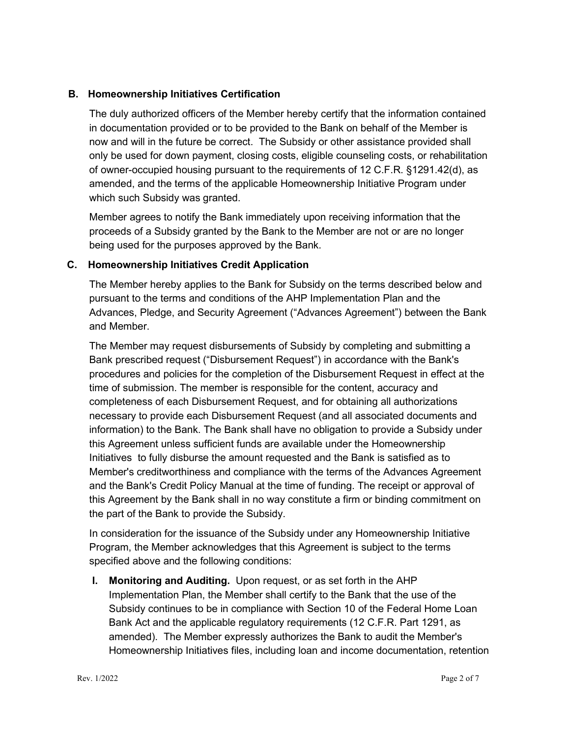## **B. Homeownership Initiatives Certification**

The duly authorized officers of the Member hereby certify that the information contained in documentation provided or to be provided to the Bank on behalf of the Member is now and will in the future be correct. The Subsidy or other assistance provided shall only be used for down payment, closing costs, eligible counseling costs, or rehabilitation of owner-occupied housing pursuant to the requirements of 12 C.F.R. §1291.42(d), as amended, and the terms of the applicable Homeownership Initiative Program under which such Subsidy was granted.

Member agrees to notify the Bank immediately upon receiving information that the proceeds of a Subsidy granted by the Bank to the Member are not or are no longer being used for the purposes approved by the Bank.

## **C. Homeownership Initiatives Credit Application**

The Member hereby applies to the Bank for Subsidy on the terms described below and pursuant to the terms and conditions of the AHP Implementation Plan and the Advances, Pledge, and Security Agreement ("Advances Agreement") between the Bank and Member.

The Member may request disbursements of Subsidy by completing and submitting a Bank prescribed request ("Disbursement Request") in accordance with the Bank's procedures and policies for the completion of the Disbursement Request in effect at the time of submission. The member is responsible for the content, accuracy and completeness of each Disbursement Request, and for obtaining all authorizations necessary to provide each Disbursement Request (and all associated documents and information) to the Bank. The Bank shall have no obligation to provide a Subsidy under this Agreement unless sufficient funds are available under the Homeownership Initiatives to fully disburse the amount requested and the Bank is satisfied as to Member's creditworthiness and compliance with the terms of the Advances Agreement and the Bank's Credit Policy Manual at the time of funding. The receipt or approval of this Agreement by the Bank shall in no way constitute a firm or binding commitment on the part of the Bank to provide the Subsidy.

In consideration for the issuance of the Subsidy under any Homeownership Initiative Program, the Member acknowledges that this Agreement is subject to the terms specified above and the following conditions:

**I. Monitoring and Auditing.** Upon request, or as set forth in the AHP Implementation Plan, the Member shall certify to the Bank that the use of the Subsidy continues to be in compliance with Section 10 of the Federal Home Loan Bank Act and the applicable regulatory requirements (12 C.F.R. Part 1291, as amended). The Member expressly authorizes the Bank to audit the Member's Homeownership Initiatives files, including loan and income documentation, retention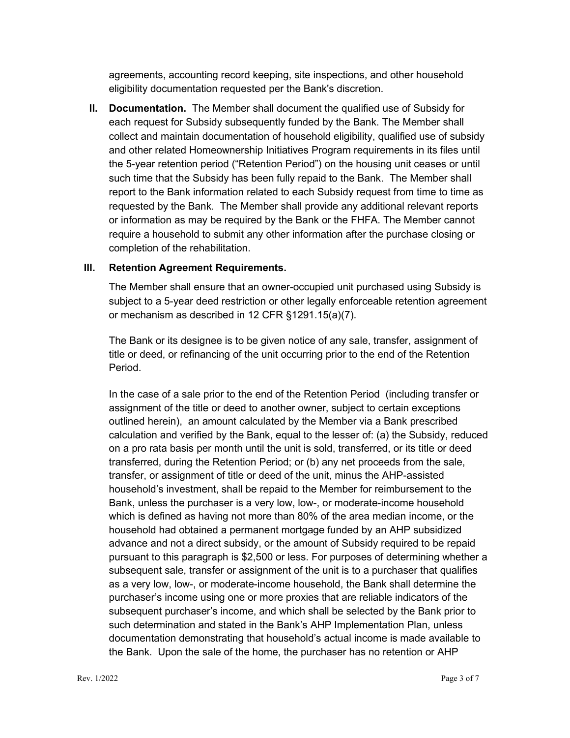agreements, accounting record keeping, site inspections, and other household eligibility documentation requested per the Bank's discretion.

**II. Documentation.** The Member shall document the qualified use of Subsidy for each request for Subsidy subsequently funded by the Bank. The Member shall collect and maintain documentation of household eligibility, qualified use of subsidy and other related Homeownership Initiatives Program requirements in its files until the 5-year retention period ("Retention Period") on the housing unit ceases or until such time that the Subsidy has been fully repaid to the Bank. The Member shall report to the Bank information related to each Subsidy request from time to time as requested by the Bank. The Member shall provide any additional relevant reports or information as may be required by the Bank or the FHFA. The Member cannot require a household to submit any other information after the purchase closing or completion of the rehabilitation.

### **III. Retention Agreement Requirements.**

The Member shall ensure that an owner-occupied unit purchased using Subsidy is subject to a 5-year deed restriction or other legally enforceable retention agreement or mechanism as described in 12 CFR §1291.15(a)(7).

The Bank or its designee is to be given notice of any sale, transfer, assignment of title or deed, or refinancing of the unit occurring prior to the end of the Retention Period.

In the case of a sale prior to the end of the Retention Period (including transfer or assignment of the title or deed to another owner, subject to certain exceptions outlined herein), an amount calculated by the Member via a Bank prescribed calculation and verified by the Bank, equal to the lesser of: (a) the Subsidy, reduced on a pro rata basis per month until the unit is sold, transferred, or its title or deed transferred, during the Retention Period; or (b) any net proceeds from the sale, transfer, or assignment of title or deed of the unit, minus the AHP-assisted household's investment, shall be repaid to the Member for reimbursement to the Bank, unless the purchaser is a very low, low-, or moderate-income household which is defined as having not more than 80% of the area median income, or the household had obtained a permanent mortgage funded by an AHP subsidized advance and not a direct subsidy, or the amount of Subsidy required to be repaid pursuant to this paragraph is \$2,500 or less. For purposes of determining whether a subsequent sale, transfer or assignment of the unit is to a purchaser that qualifies as a very low, low-, or moderate-income household, the Bank shall determine the purchaser's income using one or more proxies that are reliable indicators of the subsequent purchaser's income, and which shall be selected by the Bank prior to such determination and stated in the Bank's AHP Implementation Plan, unless documentation demonstrating that household's actual income is made available to the Bank. Upon the sale of the home, the purchaser has no retention or AHP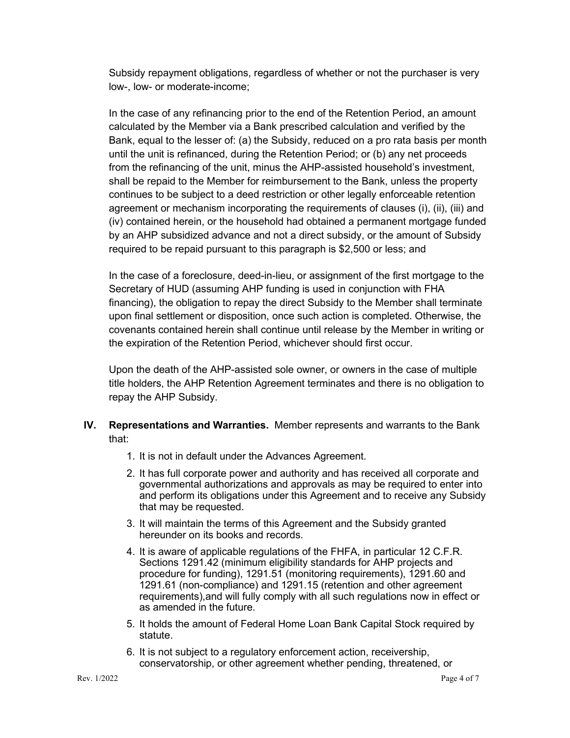Subsidy repayment obligations, regardless of whether or not the purchaser is very low-, low- or moderate-income;

In the case of any refinancing prior to the end of the Retention Period, an amount calculated by the Member via a Bank prescribed calculation and verified by the Bank, equal to the lesser of: (a) the Subsidy, reduced on a pro rata basis per month until the unit is refinanced, during the Retention Period; or (b) any net proceeds from the refinancing of the unit, minus the AHP-assisted household's investment, shall be repaid to the Member for reimbursement to the Bank, unless the property continues to be subject to a deed restriction or other legally enforceable retention agreement or mechanism incorporating the requirements of clauses (i), (ii), (iii) and (iv) contained herein, or the household had obtained a permanent mortgage funded by an AHP subsidized advance and not a direct subsidy, or the amount of Subsidy required to be repaid pursuant to this paragraph is \$2,500 or less; and

In the case of a foreclosure, deed-in-lieu, or assignment of the first mortgage to the Secretary of HUD (assuming AHP funding is used in conjunction with FHA financing), the obligation to repay the direct Subsidy to the Member shall terminate upon final settlement or disposition, once such action is completed. Otherwise, the covenants contained herein shall continue until release by the Member in writing or the expiration of the Retention Period, whichever should first occur.

Upon the death of the AHP-assisted sole owner, or owners in the case of multiple title holders, the AHP Retention Agreement terminates and there is no obligation to repay the AHP Subsidy.

- **IV. Representations and Warranties.** Member represents and warrants to the Bank that:
	- 1. It is not in default under the Advances Agreement.
	- 2. It has full corporate power and authority and has received all corporate and governmental authorizations and approvals as may be required to enter into and perform its obligations under this Agreement and to receive any Subsidy that may be requested.
	- 3. It will maintain the terms of this Agreement and the Subsidy granted hereunder on its books and records.
	- 4. It is aware of applicable regulations of the FHFA, in particular 12 C.F.R. Sections 1291.42 (minimum eligibility standards for AHP projects and procedure for funding), 1291.51 (monitoring requirements), 1291.60 and 1291.61 (non-compliance) and 1291.15 (retention and other agreement requirements),and will fully comply with all such regulations now in effect or as amended in the future.
	- 5. It holds the amount of Federal Home Loan Bank Capital Stock required by statute.
	- 6. It is not subject to a regulatory enforcement action, receivership, conservatorship, or other agreement whether pending, threatened, or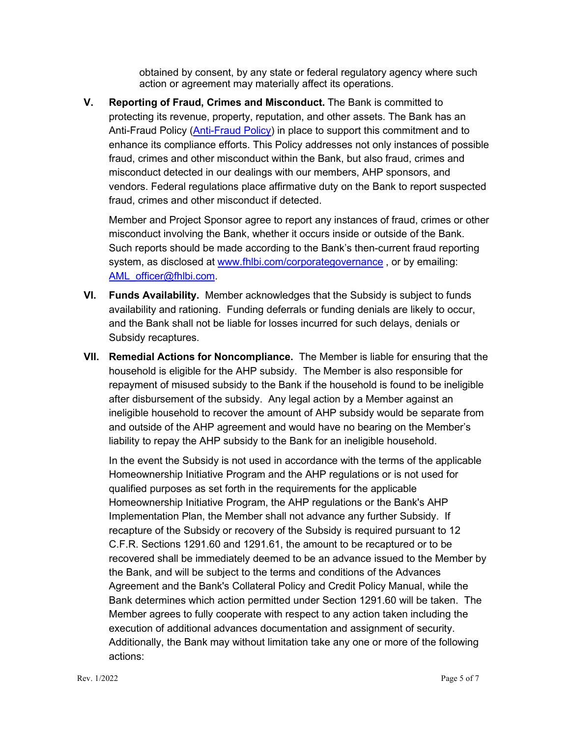obtained by consent, by any state or federal regulatory agency where such action or agreement may materially affect its operations.

**V. Reporting of Fraud, Crimes and Misconduct.** The Bank is committed to protecting its revenue, property, reputation, and other assets. The Bank has an [Anti-Fraud Policy](http://www.fhlbi.com/common/documents/CoCAntiFraudPolicy.pdf) [\(Anti-Fraud Policy\)](https://www.fhlbi.com/docs/default-source/compliance/cocantifraudpolicy900b5ca131106874b95eff00008dd2cb.pdf?sfvrsn=4) in place to support this commitment and to enhance its compliance efforts. This Policy addresses not only instances of possible fraud, crimes and other misconduct within the Bank, but also fraud, crimes and misconduct detected in our dealings with our members, AHP sponsors, and vendors. Federal regulations place affirmative duty on the Bank to report suspected fraud, crimes and other misconduct if detected.

Member and Project Sponsor agree to report any instances of fraud, crimes or other misconduct involving the Bank, whether it occurs inside or outside of the Bank. Such reports should be made according to the Bank's then-current fraud reporting system, as disclosed at [www.fhlbi.com/corporategovernance](http://www.fhlbi.com/corporategovernance), or by emailing: [AML\\_officer@fhlbi.com.](mailto:AML_officer@fhlbi.com)

- **VI. Funds Availability.** Member acknowledges that the Subsidy is subject to funds availability and rationing. Funding deferrals or funding denials are likely to occur, and the Bank shall not be liable for losses incurred for such delays, denials or Subsidy recaptures.
- **VII. Remedial Actions for Noncompliance.** The Member is liable for ensuring that the household is eligible for the AHP subsidy. The Member is also responsible for repayment of misused subsidy to the Bank if the household is found to be ineligible after disbursement of the subsidy. Any legal action by a Member against an ineligible household to recover the amount of AHP subsidy would be separate from and outside of the AHP agreement and would have no bearing on the Member's liability to repay the AHP subsidy to the Bank for an ineligible household.

In the event the Subsidy is not used in accordance with the terms of the applicable Homeownership Initiative Program and the AHP regulations or is not used for qualified purposes as set forth in the requirements for the applicable Homeownership Initiative Program, the AHP regulations or the Bank's AHP Implementation Plan, the Member shall not advance any further Subsidy. If recapture of the Subsidy or recovery of the Subsidy is required pursuant to 12 C.F.R. Sections 1291.60 and 1291.61, the amount to be recaptured or to be recovered shall be immediately deemed to be an advance issued to the Member by the Bank, and will be subject to the terms and conditions of the Advances Agreement and the Bank's Collateral Policy and Credit Policy Manual, while the Bank determines which action permitted under Section 1291.60 will be taken. The Member agrees to fully cooperate with respect to any action taken including the execution of additional advances documentation and assignment of security. Additionally, the Bank may without limitation take any one or more of the following actions: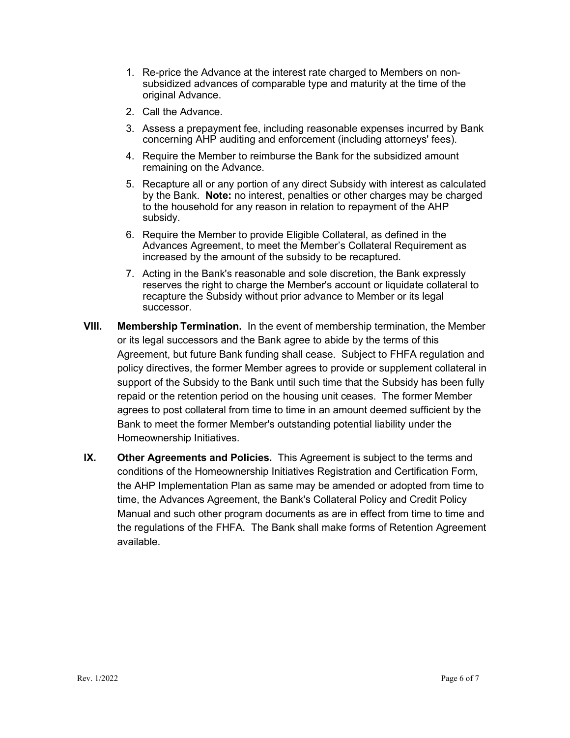- 1. Re-price the Advance at the interest rate charged to Members on nonsubsidized advances of comparable type and maturity at the time of the original Advance.
- 2. Call the Advance.
- 3. Assess a prepayment fee, including reasonable expenses incurred by Bank concerning AHP auditing and enforcement (including attorneys' fees).
- 4. Require the Member to reimburse the Bank for the subsidized amount remaining on the Advance.
- 5. Recapture all or any portion of any direct Subsidy with interest as calculated by the Bank. **Note:** no interest, penalties or other charges may be charged to the household for any reason in relation to repayment of the AHP subsidy.
- 6. Require the Member to provide Eligible Collateral, as defined in the Advances Agreement, to meet the Member's Collateral Requirement as increased by the amount of the subsidy to be recaptured.
- 7. Acting in the Bank's reasonable and sole discretion, the Bank expressly reserves the right to charge the Member's account or liquidate collateral to recapture the Subsidy without prior advance to Member or its legal successor.
- **VIII. Membership Termination.** In the event of membership termination, the Member or its legal successors and the Bank agree to abide by the terms of this Agreement, but future Bank funding shall cease. Subject to FHFA regulation and policy directives, the former Member agrees to provide or supplement collateral in support of the Subsidy to the Bank until such time that the Subsidy has been fully repaid or the retention period on the housing unit ceases. The former Member agrees to post collateral from time to time in an amount deemed sufficient by the Bank to meet the former Member's outstanding potential liability under the Homeownership Initiatives.
- **IX. Other Agreements and Policies.** This Agreement is subject to the terms and conditions of the Homeownership Initiatives Registration and Certification Form, the AHP Implementation Plan as same may be amended or adopted from time to time, the Advances Agreement, the Bank's Collateral Policy and Credit Policy Manual and such other program documents as are in effect from time to time and the regulations of the FHFA. The Bank shall make forms of Retention Agreement available.